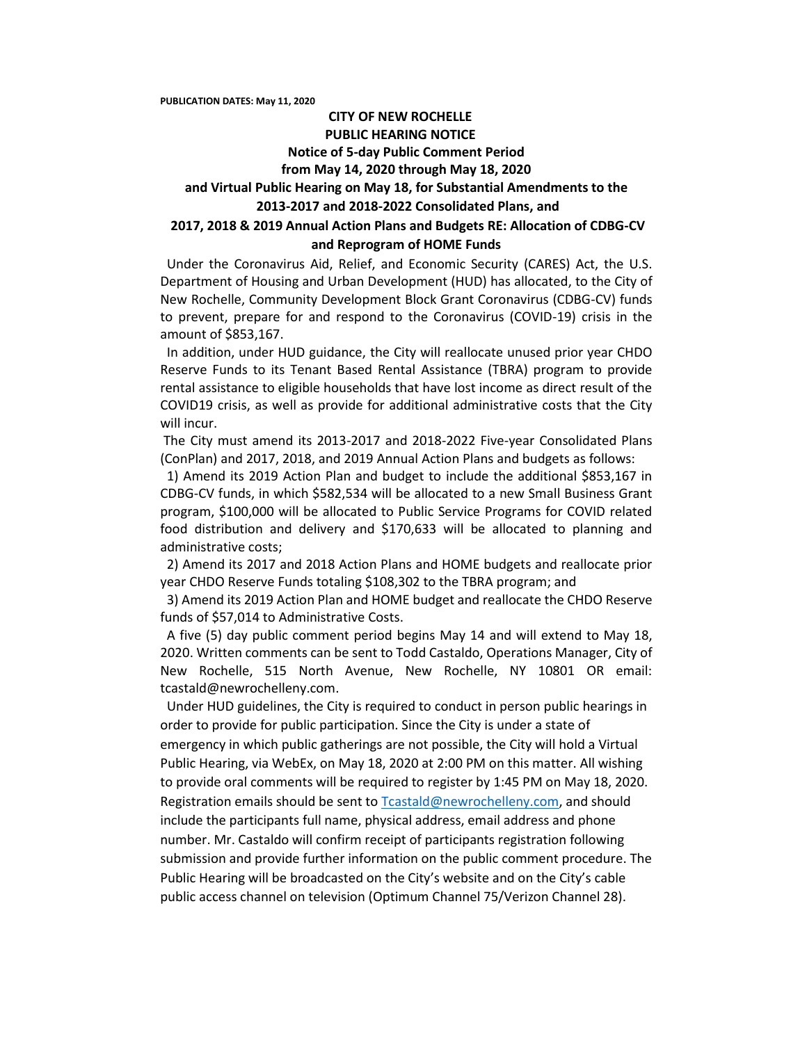**PUBLICATION DATES: May 11, 2020**

## **CITY OF NEW ROCHELLE PUBLIC HEARING NOTICE Notice of 5-day Public Comment Period from May 14, 2020 through May 18, 2020 and Virtual Public Hearing on May 18, for Substantial Amendments to the 2013-2017 and 2018-2022 Consolidated Plans, and 2017, 2018 & 2019 Annual Action Plans and Budgets RE: Allocation of CDBG-CV and Reprogram of HOME Funds**

 Under the Coronavirus Aid, Relief, and Economic Security (CARES) Act, the U.S. Department of Housing and Urban Development (HUD) has allocated, to the City of New Rochelle, Community Development Block Grant Coronavirus (CDBG-CV) funds to prevent, prepare for and respond to the Coronavirus (COVID-19) crisis in the amount of \$853,167.

 In addition, under HUD guidance, the City will reallocate unused prior year CHDO Reserve Funds to its Tenant Based Rental Assistance (TBRA) program to provide rental assistance to eligible households that have lost income as direct result of the COVID19 crisis, as well as provide for additional administrative costs that the City will incur.

The City must amend its 2013-2017 and 2018-2022 Five-year Consolidated Plans (ConPlan) and 2017, 2018, and 2019 Annual Action Plans and budgets as follows:

 1) Amend its 2019 Action Plan and budget to include the additional \$853,167 in CDBG-CV funds, in which \$582,534 will be allocated to a new Small Business Grant program, \$100,000 will be allocated to Public Service Programs for COVID related food distribution and delivery and \$170,633 will be allocated to planning and administrative costs;

 2) Amend its 2017 and 2018 Action Plans and HOME budgets and reallocate prior year CHDO Reserve Funds totaling \$108,302 to the TBRA program; and

 3) Amend its 2019 Action Plan and HOME budget and reallocate the CHDO Reserve funds of \$57,014 to Administrative Costs.

 A five (5) day public comment period begins May 14 and will extend to May 18, 2020. Written comments can be sent to Todd Castaldo, Operations Manager, City of New Rochelle, 515 North Avenue, New Rochelle, NY 10801 OR email: tcastald@newrochelleny.com.

 Under HUD guidelines, the City is required to conduct in person public hearings in order to provide for public participation. Since the City is under a state of emergency in which public gatherings are not possible, the City will hold a Virtual Public Hearing, via WebEx, on May 18, 2020 at 2:00 PM on this matter. All wishing to provide oral comments will be required to register by 1:45 PM on May 18, 2020. Registration emails should be sent to [Tcastald@newrochelleny.com,](mailto:Tcastald@newrochelleny.com) and should include the participants full name, physical address, email address and phone number. Mr. Castaldo will confirm receipt of participants registration following submission and provide further information on the public comment procedure. The Public Hearing will be broadcasted on the City's website and on the City's cable public access channel on television (Optimum Channel 75/Verizon Channel 28).